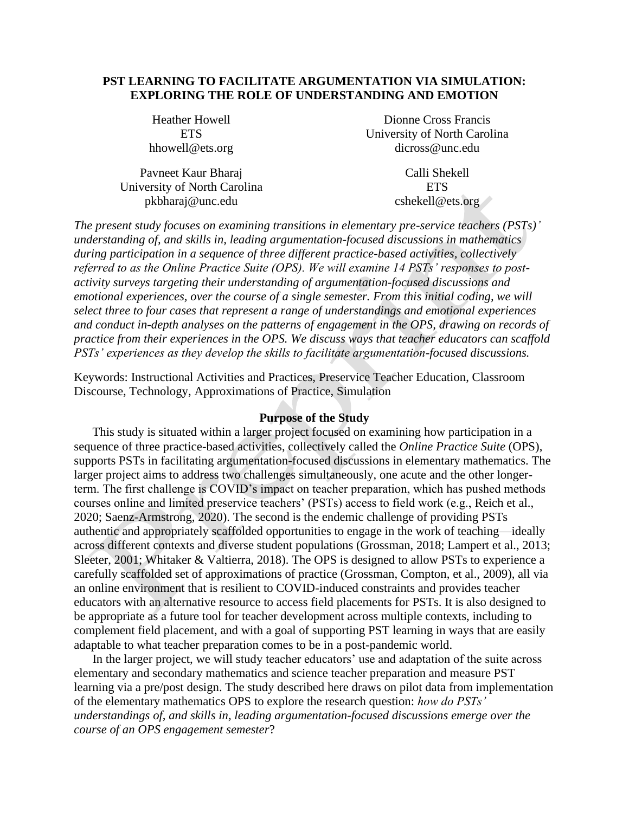# **PST LEARNING TO FACILITATE ARGUMENTATION VIA SIMULATION: EXPLORING THE ROLE OF UNDERSTANDING AND EMOTION**

Heather Howell **ETS** hhowell@ets.org

Pavneet Kaur Bharaj University of North Carolina pkbharaj@unc.edu

Dionne Cross Francis University of North Carolina dicross@unc.edu

> Calli Shekell **ETS** cshekell@ets.org

*The present study focuses on examining transitions in elementary pre-service teachers (PSTs)' understanding of, and skills in, leading argumentation-focused discussions in mathematics during participation in a sequence of three different practice-based activities, collectively referred to as the Online Practice Suite (OPS). We will examine 14 PSTs' responses to postactivity surveys targeting their understanding of argumentation-focused discussions and emotional experiences, over the course of a single semester. From this initial coding, we will select three to four cases that represent a range of understandings and emotional experiences and conduct in-depth analyses on the patterns of engagement in the OPS, drawing on records of practice from their experiences in the OPS. We discuss ways that teacher educators can scaffold PSTs' experiences as they develop the skills to facilitate argumentation-focused discussions.* 

Keywords: Instructional Activities and Practices, Preservice Teacher Education, Classroom Discourse, Technology, Approximations of Practice, Simulation

# **Purpose of the Study**

This study is situated within a larger project focused on examining how participation in a sequence of three practice-based activities, collectively called the *Online Practice Suite* (OPS), supports PSTs in facilitating argumentation-focused discussions in elementary mathematics. The larger project aims to address two challenges simultaneously, one acute and the other longerterm. The first challenge is COVID's impact on teacher preparation, which has pushed methods courses online and limited preservice teachers' (PSTs) access to field work (e.g., Reich et al., 2020; Saenz-Armstrong, 2020). The second is the endemic challenge of providing PSTs authentic and appropriately scaffolded opportunities to engage in the work of teaching—ideally across different contexts and diverse student populations (Grossman, 2018; Lampert et al., 2013; Sleeter, 2001; Whitaker & Valtierra, 2018). The OPS is designed to allow PSTs to experience a carefully scaffolded set of approximations of practice (Grossman, Compton, et al., 2009), all via an online environment that is resilient to COVID-induced constraints and provides teacher educators with an alternative resource to access field placements for PSTs. It is also designed to be appropriate as a future tool for teacher development across multiple contexts, including to complement field placement, and with a goal of supporting PST learning in ways that are easily adaptable to what teacher preparation comes to be in a post-pandemic world.

In the larger project, we will study teacher educators' use and adaptation of the suite across elementary and secondary mathematics and science teacher preparation and measure PST learning via a pre/post design. The study described here draws on pilot data from implementation of the elementary mathematics OPS to explore the research question: *how do PSTs' understandings of, and skills in, leading argumentation-focused discussions emerge over the course of an OPS engagement semester*?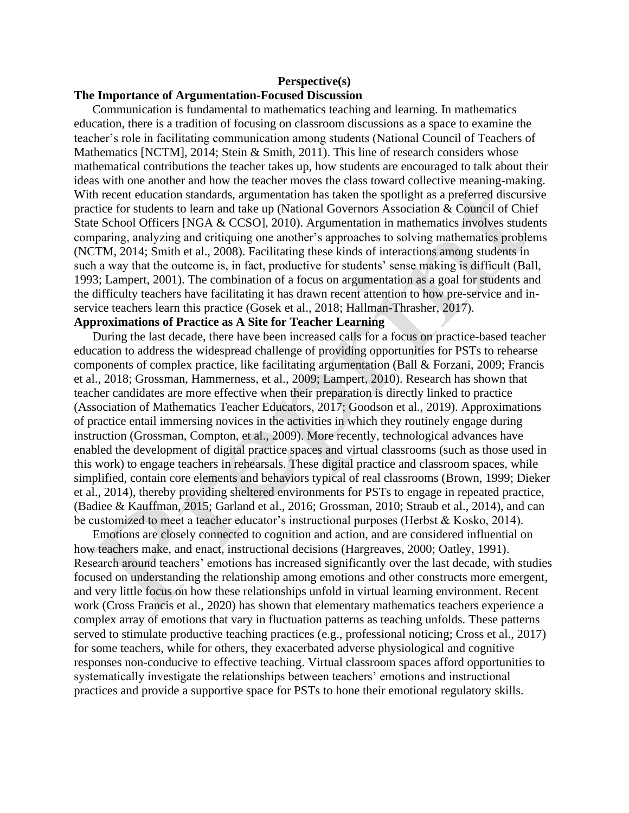## **Perspective(s)**

#### **The Importance of Argumentation-Focused Discussion**

Communication is fundamental to mathematics teaching and learning. In mathematics education, there is a tradition of focusing on classroom discussions as a space to examine the teacher's role in facilitating communication among students (National Council of Teachers of Mathematics [NCTM], 2014; Stein & Smith, 2011). This line of research considers whose mathematical contributions the teacher takes up, how students are encouraged to talk about their ideas with one another and how the teacher moves the class toward collective meaning-making. With recent education standards, argumentation has taken the spotlight as a preferred discursive practice for students to learn and take up (National Governors Association & Council of Chief State School Officers [NGA & CCSO], 2010). Argumentation in mathematics involves students comparing, analyzing and critiquing one another's approaches to solving mathematics problems (NCTM, 2014; Smith et al., 2008). Facilitating these kinds of interactions among students in such a way that the outcome is, in fact, productive for students' sense making is difficult (Ball, 1993; Lampert, 2001). The combination of a focus on argumentation as a goal for students and the difficulty teachers have facilitating it has drawn recent attention to how pre-service and inservice teachers learn this practice (Gosek et al., 2018; Hallman-Thrasher, 2017).

# **Approximations of Practice as A Site for Teacher Learning**

During the last decade, there have been increased calls for a focus on practice-based teacher education to address the widespread challenge of providing opportunities for PSTs to rehearse components of complex practice, like facilitating argumentation (Ball & Forzani, 2009; Francis et al., 2018; Grossman, Hammerness, et al., 2009; Lampert, 2010). Research has shown that teacher candidates are more effective when their preparation is directly linked to practice (Association of Mathematics Teacher Educators, 2017; Goodson et al., 2019). Approximations of practice entail immersing novices in the activities in which they routinely engage during instruction (Grossman, Compton, et al., 2009). More recently, technological advances have enabled the development of digital practice spaces and virtual classrooms (such as those used in this work) to engage teachers in rehearsals. These digital practice and classroom spaces, while simplified, contain core elements and behaviors typical of real classrooms (Brown, 1999; Dieker et al., 2014), thereby providing sheltered environments for PSTs to engage in repeated practice, (Badiee & Kauffman, 2015; Garland et al., 2016; Grossman, 2010; Straub et al., 2014), and can be customized to meet a teacher educator's instructional purposes (Herbst & Kosko, 2014).

Emotions are closely connected to cognition and action, and are considered influential on how teachers make, and enact, instructional decisions (Hargreaves, 2000; Oatley, 1991). Research around teachers' emotions has increased significantly over the last decade, with studies focused on understanding the relationship among emotions and other constructs more emergent, and very little focus on how these relationships unfold in virtual learning environment. Recent work (Cross Francis et al., 2020) has shown that elementary mathematics teachers experience a complex array of emotions that vary in fluctuation patterns as teaching unfolds. These patterns served to stimulate productive teaching practices (e.g., professional noticing; Cross et al., 2017) for some teachers, while for others, they exacerbated adverse physiological and cognitive responses non-conducive to effective teaching. Virtual classroom spaces afford opportunities to systematically investigate the relationships between teachers' emotions and instructional practices and provide a supportive space for PSTs to hone their emotional regulatory skills.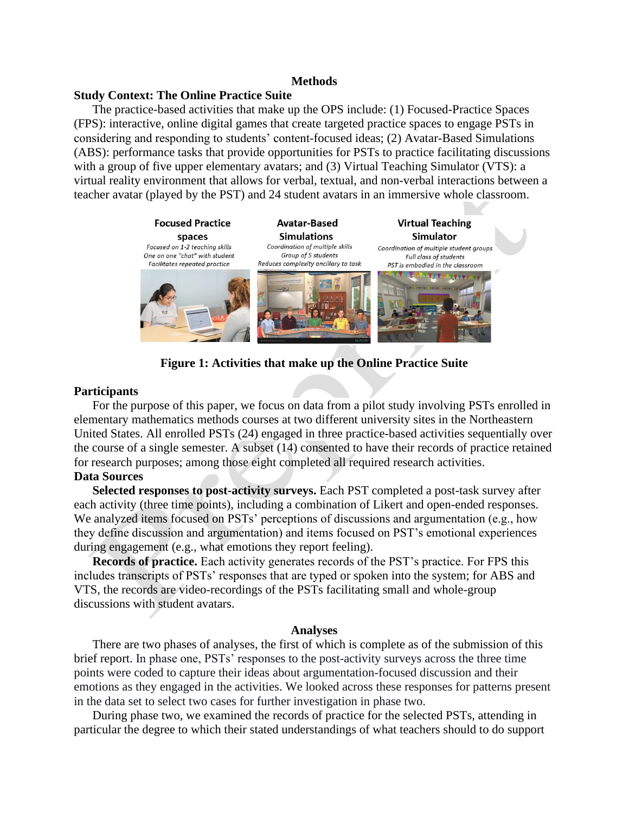#### **Methods**

## **Study Context: The Online Practice Suite**

The practice-based activities that make up the OPS include: (1) Focused-Practice Spaces (FPS): interactive, online digital games that create targeted practice spaces to engage PSTs in considering and responding to students' content-focused ideas; (2) Avatar-Based Simulations (ABS): performance tasks that provide opportunities for PSTs to practice facilitating discussions with a group of five upper elementary avatars; and (3) Virtual Teaching Simulator (VTS): a virtual reality environment that allows for verbal, textual, and non-verbal interactions between a teacher avatar (played by the PST) and 24 student avatars in an immersive whole classroom.



**Figure 1: Activities that make up the Online Practice Suite** 

## **Participants**

For the purpose of this paper, we focus on data from a pilot study involving PSTs enrolled in elementary mathematics methods courses at two different university sites in the Northeastern United States. All enrolled PSTs (24) engaged in three practice-based activities sequentially over the course of a single semester. A subset (14) consented to have their records of practice retained for research purposes; among those eight completed all required research activities. **Data Sources**

**Selected responses to post-activity surveys.** Each PST completed a post-task survey after each activity (three time points), including a combination of Likert and open-ended responses. We analyzed items focused on PSTs' perceptions of discussions and argumentation (e.g., how they define discussion and argumentation) and items focused on PST's emotional experiences during engagement (e.g., what emotions they report feeling).

**Records of practice.** Each activity generates records of the PST's practice. For FPS this includes transcripts of PSTs' responses that are typed or spoken into the system; for ABS and VTS, the records are video-recordings of the PSTs facilitating small and whole-group discussions with student avatars.

#### **Analyses**

There are two phases of analyses, the first of which is complete as of the submission of this brief report. In phase one, PSTs' responses to the post-activity surveys across the three time points were coded to capture their ideas about argumentation-focused discussion and their emotions as they engaged in the activities. We looked across these responses for patterns present in the data set to select two cases for further investigation in phase two.

During phase two, we examined the records of practice for the selected PSTs, attending in particular the degree to which their stated understandings of what teachers should to do support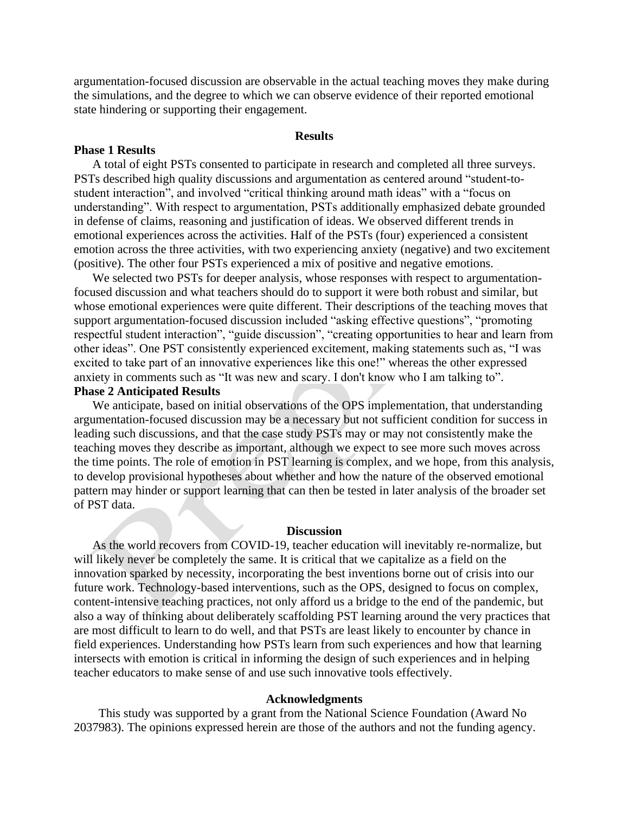argumentation-focused discussion are observable in the actual teaching moves they make during the simulations, and the degree to which we can observe evidence of their reported emotional state hindering or supporting their engagement.

#### **Results**

#### **Phase 1 Results**

A total of eight PSTs consented to participate in research and completed all three surveys. PSTs described high quality discussions and argumentation as centered around "student-tostudent interaction", and involved "critical thinking around math ideas" with a "focus on understanding". With respect to argumentation, PSTs additionally emphasized debate grounded in defense of claims, reasoning and justification of ideas. We observed different trends in emotional experiences across the activities. Half of the PSTs (four) experienced a consistent emotion across the three activities, with two experiencing anxiety (negative) and two excitement (positive). The other four PSTs experienced a mix of positive and negative emotions.

We selected two PSTs for deeper analysis, whose responses with respect to argumentationfocused discussion and what teachers should do to support it were both robust and similar, but whose emotional experiences were quite different. Their descriptions of the teaching moves that support argumentation-focused discussion included "asking effective questions", "promoting respectful student interaction", "guide discussion", "creating opportunities to hear and learn from other ideas". One PST consistently experienced excitement, making statements such as, "I was excited to take part of an innovative experiences like this one!" whereas the other expressed anxiety in comments such as "It was new and scary. I don't know who I am talking to". **Phase 2 Anticipated Results**

We anticipate, based on initial observations of the OPS implementation, that understanding argumentation-focused discussion may be a necessary but not sufficient condition for success in leading such discussions, and that the case study PSTs may or may not consistently make the teaching moves they describe as important, although we expect to see more such moves across the time points. The role of emotion in PST learning is complex, and we hope, from this analysis, to develop provisional hypotheses about whether and how the nature of the observed emotional pattern may hinder or support learning that can then be tested in later analysis of the broader set of PST data.

#### **Discussion**

As the world recovers from COVID-19, teacher education will inevitably re-normalize, but will likely never be completely the same. It is critical that we capitalize as a field on the innovation sparked by necessity, incorporating the best inventions borne out of crisis into our future work. Technology-based interventions, such as the OPS, designed to focus on complex, content-intensive teaching practices, not only afford us a bridge to the end of the pandemic, but also a way of thinking about deliberately scaffolding PST learning around the very practices that are most difficult to learn to do well, and that PSTs are least likely to encounter by chance in field experiences. Understanding how PSTs learn from such experiences and how that learning intersects with emotion is critical in informing the design of such experiences and in helping teacher educators to make sense of and use such innovative tools effectively.

#### **Acknowledgments**

This study was supported by a grant from the National Science Foundation (Award No 2037983). The opinions expressed herein are those of the authors and not the funding agency.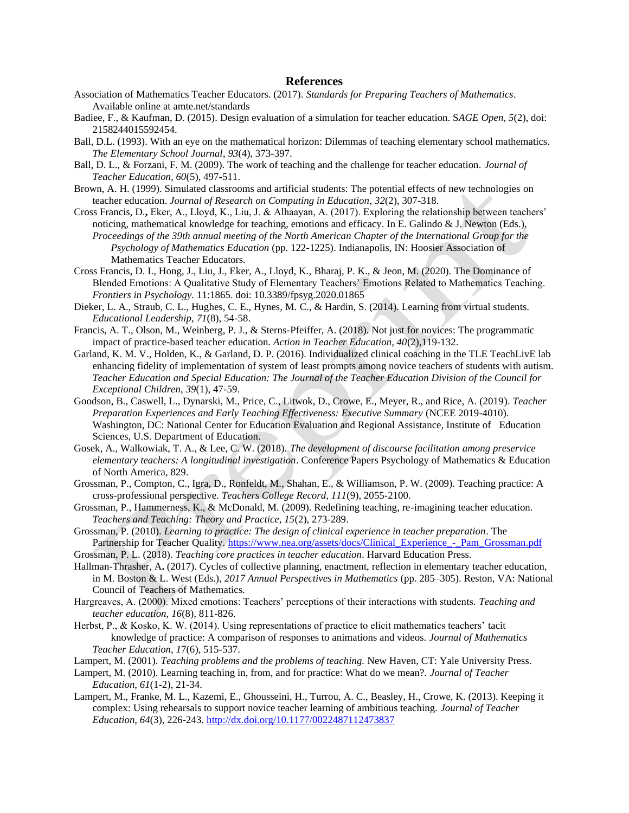#### **References**

- Association of Mathematics Teacher Educators. (2017). *Standards for Preparing Teachers of Mathematics*. Available online at amte.net/standards
- Badiee, F., & Kaufman, D. (2015). Design evaluation of a simulation for teacher education. S*AGE Open, 5*(2), doi: 2158244015592454.
- Ball, D.L. (1993). With an eye on the mathematical horizon: Dilemmas of teaching elementary school mathematics. *The Elementary School Journal*, *93*(4), 373-397.
- Ball, D. L., & Forzani, F. M. (2009). The work of teaching and the challenge for teacher education. *Journal of Teacher Education, 60*(5), 497-511.
- Brown, A. H. (1999). Simulated classrooms and artificial students: The potential effects of new technologies on teacher education. *Journal of Research on Computing in Education*, *32*(2), 307-318.
- Cross Francis, D.**,** Eker, A., Lloyd, K., Liu, J. & Alhaayan, A. (2017). Exploring the relationship between teachers' noticing, mathematical knowledge for teaching, emotions and efficacy. In E. Galindo & J. Newton (Eds.), *Proceedings of the 39th annual meeting of the North American Chapter of the International Group for the Psychology of Mathematics Education* (pp. 122-1225). Indianapolis, IN: Hoosier Association of Mathematics Teacher Educators.
- Cross Francis, D. I., Hong, J., Liu, J., Eker, A., Lloyd, K., Bharaj, P. K., & Jeon, M. (2020). The Dominance of Blended Emotions: A Qualitative Study of Elementary Teachers' Emotions Related to Mathematics Teaching. *Frontiers in Psychology.* 11:1865. doi: 10.3389/fpsyg.2020.01865
- Dieker, L. A., Straub, C. L., Hughes, C. E., Hynes, M. C., & Hardin, S. (2014). Learning from virtual students. *Educational Leadership*, *71*(8), 54-58.
- Francis, A. T., Olson, M., Weinberg, P. J., & Sterns-Pfeiffer, A. (2018). Not just for novices: The programmatic impact of practice-based teacher education. *Action in Teacher Education, 40*(2),119-132.
- Garland, K. M. V., Holden, K., & Garland, D. P. (2016). Individualized clinical coaching in the TLE TeachLivE lab enhancing fidelity of implementation of system of least prompts among novice teachers of students with autism. *Teacher Education and Special Education: The Journal of the Teacher Education Division of the Council for Exceptional Children*, *39*(1), 47-59.
- Goodson, B., Caswell, L., Dynarski, M., Price, C., Litwok, D., Crowe, E., Meyer, R., and Rice, A. (2019). *Teacher Preparation Experiences and Early Teaching Effectiveness: Executive Summary* (NCEE 2019-4010). Washington, DC: National Center for Education Evaluation and Regional Assistance, Institute of Education Sciences, U.S. Department of Education.
- Gosek, A., Walkowiak, T. A., & Lee, C. W. (2018). *The development of discourse facilitation among preservice elementary teachers: A longitudinal investigation*. Conference Papers Psychology of Mathematics & Education of North America, 829.
- Grossman, P., Compton, C., Igra, D., Ronfeldt, M., Shahan, E., & Williamson, P. W. (2009). Teaching practice: A cross-professional perspective. *Teachers College Record, 111*(9), 2055-2100.
- Grossman, P., Hammerness, K., & McDonald, M. (2009). Redefining teaching, re-imagining teacher education. *Teachers and Teaching: Theory and Practice, 15*(2), 273-289.
- Grossman, P. (2010). *Learning to practice: The design of clinical experience in teacher preparation*. The Partnership for Teacher Quality. [https://www.nea.org/assets/docs/Clinical\\_Experience\\_-\\_Pam\\_Grossman.pdf](https://www.nea.org/assets/docs/Clinical_Experience_-_Pam_Grossman.pdf)
- Grossman, P. L. (2018). *Teaching core practices in teacher education*. Harvard Education Press.
- Hallman-Thrasher, A**.** (2017). Cycles of collective planning, enactment, reflection in elementary teacher education, in M. Boston & L. West (Eds.), *2017 Annual Perspectives in Mathematics* (pp. 285–305). Reston, VA: National Council of Teachers of Mathematics.
- Hargreaves, A. (2000). Mixed emotions: Teachers' perceptions of their interactions with students. *Teaching and teacher education, 16*(8), 811-826.
- Herbst, P., & Kosko, K. W. (2014). Using representations of practice to elicit mathematics teachers' tacit knowledge of practice: A comparison of responses to animations and videos. *Journal of Mathematics Teacher Education, 1*7(6), 515-537.
- Lampert, M. (2001). *Teaching problems and the problems of teaching.* New Haven, CT: Yale University Press.
- Lampert, M. (2010). Learning teaching in, from, and for practice: What do we mean?. *Journal of Teacher Education, 61*(1-2), 21-34.
- Lampert, M., Franke, M. L., Kazemi, E., Ghousseini, H., Turrou, A. C., Beasley, H., Crowe, K. (2013). Keeping it complex: Using rehearsals to support novice teacher learning of ambitious teaching. *Journal of Teacher Education, 64*(3), 226-243.<http://dx.doi.org/10.1177/0022487112473837>